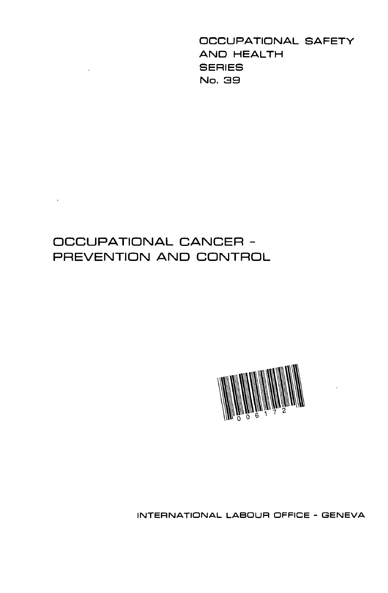OCCUPATIONAL SAFETY AND HEALTH **SERIES** No. 39

# OCCUPATIONAL CANCER - PREVENTION AND CONTROL

 $\ddot{\phantom{0}}$ 

 $\Delta \sim 10^4$ 



INTERNATIONAL LABOUR OFFICE - GENEVA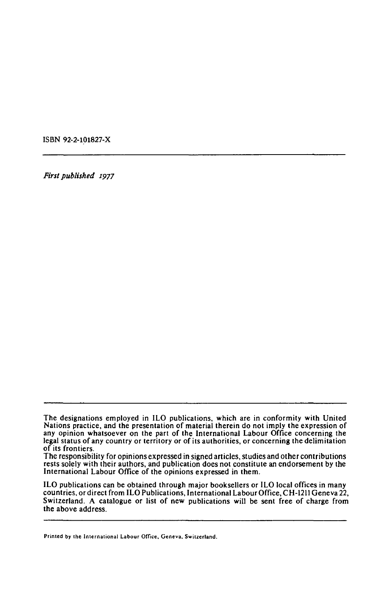ISBN 92-2-101827-X

*First published 1977* 

ILO publications can be obtained through major booksellers or ILO local offices in many countries, or direct from ILO Publications, International Labour Office, CH-1211 Geneva 22, Switzerland. A catalogue or list of new publications will be sent free of charge from the above address.

**Printed by the International Labour Office, Geneva. Switzerland.** 

The designations employed in ILO publications, which are in conformity with United Nations practice, and the presentation of material therein do not imply the expression of any opinion whatsoever on the part of the International Labour Office concerning the legal status of any country or territory or of its authorities, or concerning the delimitation of its frontiers.

The responsibility for opinions expressed in signed articles, studies and other contributions rests solely with their authors, and publication does not constitute an endorsement by the International Labour Office of the opinions expressed in them.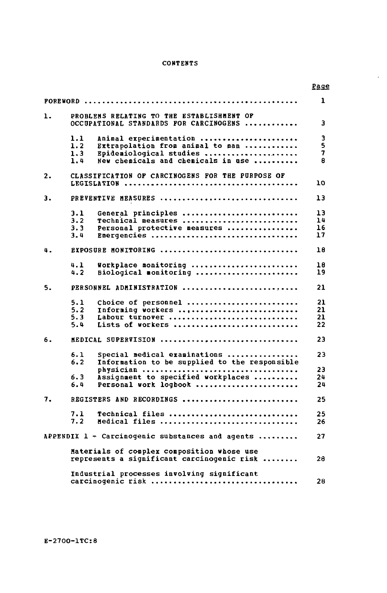## **CONTENTS**

 $\epsilon$ 

|    |                                                                                          | <u>Page</u> |
|----|------------------------------------------------------------------------------------------|-------------|
|    |                                                                                          | ı           |
| ı. | PROBLENS RELATING TO THE ESTABLISHMENT OF<br>OCCUPATIONAL STANDARDS FOR CARCINOGENS      | 3           |
|    | 1.1<br>Animal experimentation                                                            | 3           |
|    | 1.2<br>Extrapolation from animal to man                                                  | 5           |
|    | 1.3<br>Epidemiological studies<br>1.4<br>New chemicals and chemicals in use              | 7<br>8      |
|    |                                                                                          |             |
| 2. | CLASSIFICATION OF CARCINOGENS FOR THE PURPOSE OF                                         |             |
|    |                                                                                          | 10          |
| з. | PREVENTIVE MEASURES                                                                      | 13          |
|    | General principles<br>3.1                                                                | 13          |
|    | 3.2<br>Technical measures                                                                | 14          |
|    | 3.3<br>Personal protective measures                                                      | 16          |
|    | 3.4<br>Emergencies                                                                       | 17          |
| 4. | EXPOSURE MONITORING                                                                      | 18          |
|    | Workplace monitoring<br>4.1                                                              | 18          |
|    | 4.2<br>Biological monitoring                                                             | 19          |
| 5. | PERSONNEL ADMINISTRATION                                                                 | 21          |
|    | 5.1<br>Choice of personnel                                                               | 21          |
|    | 5.2<br>Informing workers                                                                 | 21          |
|    | 5.3<br>Labour turnover                                                                   | 21          |
|    | 5.4<br>Lists of workers                                                                  | 22          |
| 6. | MEDICAL SUPERVISION                                                                      | 23          |
|    | 6.1<br>${\tt Special}$ medical examinations                                              | 23          |
|    | 6.2<br>Information to be supplied to the responsible                                     |             |
|    |                                                                                          | 23          |
|    | 6.3<br>Assignment to specified workplaces                                                | 24          |
|    | 6.4<br>Personal work logbook                                                             | 24          |
| 7. | REGISTERS AND RECORDINGS                                                                 | 25          |
|    | 7.1<br>Technical files                                                                   | 25          |
|    | 7.2<br>Medical files                                                                     | 26          |
|    |                                                                                          |             |
|    | APPENDIX 1 - Carcinogenic substances and agents                                          | 27          |
|    | Materials of complex composition whose use<br>represents a significant carcinogenic risk | 28          |
|    | Industrial processes involving significant<br>carcinoqenic risk                          | 28          |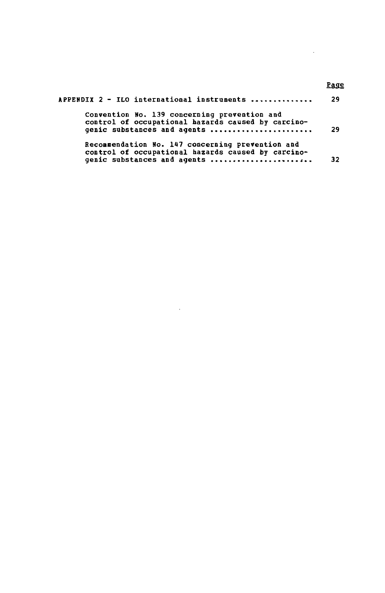| APPENDIX 2 - ILO international instruments                                                                                            | -29 |
|---------------------------------------------------------------------------------------------------------------------------------------|-----|
| Convention No. 139 concerning prevention and<br>control of occupational hazards caused by carcino-<br>genic substances and agents     | 29  |
| Recommendation No. 147 concerning prevention and<br>control of occupational hazards caused by carcino-<br>genic substances and agents | 32  |

 $\sim 10^7$ 

# **Page**

 $\bar{\bar{z}}$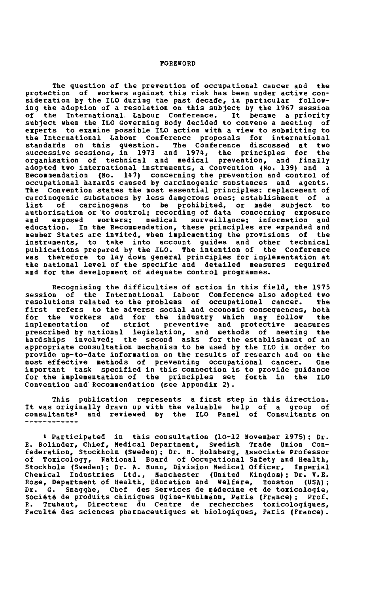#### **FOREWORD**

**The question of the prevention of occupational cancer and the protection of workers against this risk has been under active consideration by the ILO during the past decade, in particular following the adoption of a resolution on this subject by the 1967 session of the International. Labour Conference. It bécane a priority subject when the ILO Governing Body decided to convene a meeting of experts to examine possible ILO action with a view to submitting to the International Labour Conference proposals for international standards on this question. The Conference discussed at two successive sessions, in 1973 and 1971», the principles for the organisation of technical and medical prevention, and finally adopted two international instruments, a Convention (No. 139) and a Recommendation (No. 147) concerning the prevention and control of occupational hazards caused by carcinogenic substances and agents. The Convention states the most essential principles: replacement of carcinogenic substances by less dangerous ones; establishment of a list of carcinogens to be prohibited, or made subject to authorisation or to control; recording of data concerning exposure and exposed workers; medical surveillance; information and education. In the Recommendation, these principles are expanded and member States are invited, when implementing the provisions of the instruments, to take into account guides and other technical publications prepared by the ILO. The intention of the Conference was therefore to lay down general principles for implementation at the national level of the specific and detailed measures required**  the national level of the specific and detailed measures reguired and for the development of adequate control programmes.

**Recognising the difficulties of action in this field, the 1975 session of the International Labour Conference also adopted two resolutions related to the problems of occupational cancer. The first refers to the adverse social and economic consequences, both for the workers and for the industry which may follow the implementation of strict preventive and protective measures prescribed by national legislation, and methods of meeting the hardships involved; the second asks for the establishment of an appropriate consultation mechanism to be used by the ILO in order to provide up-to-date information on the results of research and on the most effective methods of preventing occupational cancer. One important task specified in this connection is to provide guidance for the implementation of the principles set forth in the ILO Convention and Recommendation (see Appendix 2).** 

**This publication represents a first step in this direction. It was originally drawn up with the valuable help of a group of consultants<sup>1</sup> and reviewed by the ILO Panel of Consultants on** 

**<sup>1</sup> Participated in this consultation (10-12 November 1975): Dr. E. Bolinder, Chief, dedicai Department, Swedish Trade Onion Confederation, Stockholm (Sweden); Dr. B. Holmberg, Associate Professor of Toxicology, National Board of Occupational Safety and Health, Stockholm (Sweden); Dr. A. Munn, Division Medical Officer, Imperial Chemical Industries Ltd., Manchester (united Kingdom); Dr. V.E. Rose, Department of Health, Education and Welfare, Houston (USA); Dr. G. Smagghe, Chef des Services de médecine et de toxicologie, Société de produits chimiques Dgine-Kuhlmánn, Paris (France); Prof. R. Truhaut, Directeur du centre de recherches toxicologiques, Faculté des sciences pharmaceutiques et biologiques, Paris (France).**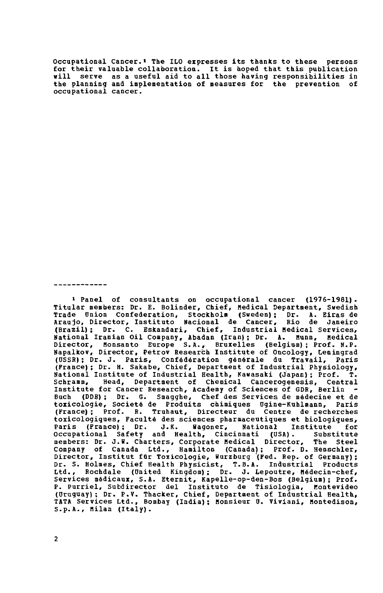**Occupational Cancer.• The ILO expresses its thanks to these persons for their valuable collaboration. It is hoped that this publication «ill serve as a useful aid to all those having responsibilities in the planning and implementation of measures for the prevention of occupational cancer.** 

. **. . . . . . . . . . .** 

**\* Panel of consultants on occupational cancer (1976-1981) . Titular members: Dr. E. Bolinder, Chief, Medicai Department, Swedish Trade Onion Confederation, Stockholm (Sweden); Dr. A. Eiras de Araujo, Director, Instituto Nacional de Cancer, Rio de Janeiro (Brazil); Dr. C. Eskandari, Chief, Industrial Medical Services, National Iranian Oil Company, Abadan (Iran); Dr. A. Munn, Medical Director, Monsanto Europe S.A., Bruxelles (Belgium); Prof. N.P. Napalkov, Director, Petrov Research Institute of Oncology, Leningrad (USSR); Dr. J. Paris, Confédération générale du Travail, Paris (France); Dr. H. Sakabe, Chief, Department of Industrial Physiology, National Institute of Industrial Health, Kawasaki (Japan); Prof. T. Schramm, Head, Department of Chemical Cancerogenesis, Central Institute for Cancer Research, Academy of Sciences of GDR, Berlin**   $\tilde{\phantom{a}}$ **Buch (DDR) ; Dr. 6. Smagghe, Chef des Services de médecine et de toxicologie, Société de Produits chimiques Ugine-Kuhlmann, Paris (France); Prof. R. Truhaut, Directeur du Centre de recherches toxicologiques, Faculté des sciences pharmaceutiques et biologiques, Paris (France); Dr. J.K. Hagoner, National Institute for Occupational Safety and Health, Cincinnati (OSA). Substitute**  members: Dr. J.W. Charters, Corporate Medical Director, **Company of Canada Ltd., Hamilton (Canada); Prof. D. Henschler, Director, Institut für Toxicologie, Wurzburg (Fed. Rep. of Germany) ; Dr. S. Holmes, Chief Health Physicist, T.B.A. Industrial Products Ltd., Rochdale (United Kingdom); Dr. J. Lepoutre, Médecin-chef, Services médicaux, S.A. Eternit, Kapelle-op-den-Bos (Belgium); Prof. P. Purriel, Subdirector del Instituto de Tisiologia, Montevideo (Uruguay); Dr. P.V. Thacker, Chief, Department of Industrial Health, TATA Services Ltd., Bombay (India); Monsieur U. Viviani, Montedison, S.p.A., Milan (Italy).**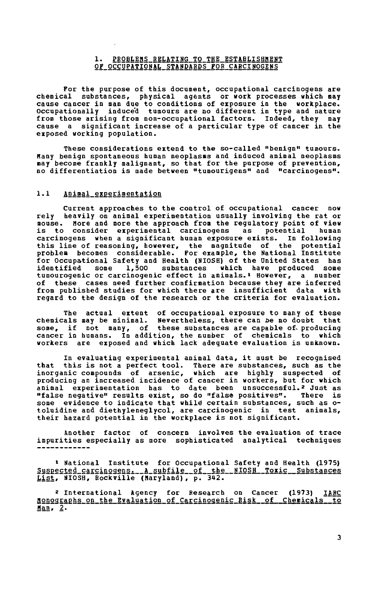#### **1. PROBLEMS RELATING TO THE ESTABLISHMENT**  OF OCCUPATIONAL STANDARDS FOR CARCINOGENS

**For the purpose of this document, occupational carcinogens are chemical substances, physical agents or work processes which nay cause cancer in man due to conditions of exposure in the workplace. Occupationally induced tumours are no different in type and nature from those arising from non-occupational factors. Indeed, they may cause a significant increase of a particular type of cancer in the exposed working population.** 

**These considerations extend to the so-called "benign" tumours. Many benign spontaneous human neoplasms and induced animal neoplasms may become frankly malignant, so that for the purpose of prevention, no differentiation is made between "tumourigens" and "carcinogens".** 

## **1.1 Animal experimentation**

**Current approaches to the control of occupational cancer now rely heavily on animal experimentation usually involving the rat or mouse. More and more the approach fron the regulatory point of view**  is to consider experimental carcinogens as potential **carcinogens when a significant human exposure exists. In following this line of reasoning, however, the magnitude of the potential problem becomes considerable. For example, the National Institute for Occupational Safety and Health (NIOSH) of the United States has identified some 1,300 substances which have produced some tumourogenic or carcinogenic effect in animals.<sup>1</sup> However, a number of these cases need further confirmation because they are inferred from published studies for which there are insufficient data with regard to the design of the research or the criteria for evaluation.** 

**The actual extent of occupational exposure to many of these chemicals may be minimal. Nevertheless, there can be no doubt that**  some, if not many, of these substances are capable of producing **cancer in humans. In addition, the number of chemicals to which workers are exposed and which lack adeguate evaluation is unknown.** 

**In evaluating experimental animal data, it must be recognised that this is not a perfect tool. There are substances, such as the**  inorganic compounds of arsenic, which are highly suspected **producing an increased incidence of cancer in workers, but for which animal experimentation has to date been unsuccessful.<sup>2</sup> Just as "false negative" results exist, so do "false positives". There is some evidence to indicate that while certain substances, such as otoluidine and diethyleneglycol, are carcinogenic in test animals, their hazard potential in the workplace is not significant.** 

**Another factor of concern involves the evaluation of trace impurities especially as more sophisticated analytical techniques** 

**» National Institute for Occupational Safety and Health (1975) SusEêçtgd\_çarçinogensi A\_subfile of the\_\_NI0SH Toxic Substances LIST, alosh, kockville (maryiand), p. 342.** 

**<sup>2</sup> International Agency for Research on Cancer (1973) I£RÇ. Monographs on the Evaluation of Carcinogenic Risk of Chemicals to**   $han. 2.$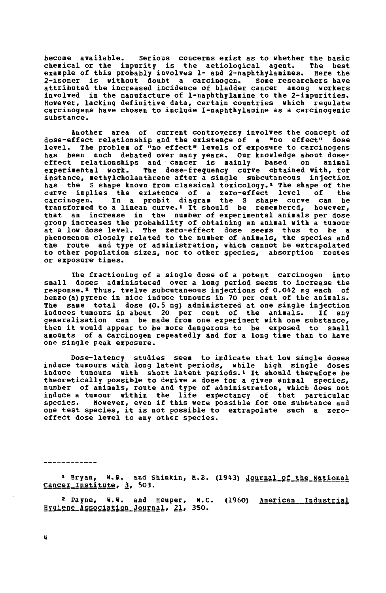**become available. Serious concerns exist as to whether the basic chemical or the impurity is the aetiological agent. The best example of this probably involves 1- and 2-naphthylanines. Here the 2-isomer is without doubt a carcinogen. Some researchers have attributed the increased incidence of bladder cancer among workers involved in the manufacture of 1-naphthylamine to the 2-impurities. However, lacking definitive data, certain countries which regulate carcinogens have chosen to include 1-naphthylamine as a carcinogenic substance.** 

**another area of current controversy involves the concept of dose-effect relationship and the existence of a "no effect" dose level. The problem of "no effect" levels of «xposure to carcinogens has been much debated over many years. Our knowledge about doseeffect relationships and cancer is mainly based on animal experimental work. The dose-frequency curve obtained with, for instance, methylcholanthrene after a single subcutaneous injection has the S shape known fron classical toxicology.<sup>1</sup> The shape of the curve implies the existence of a zero-effect level of the**<br>carcinogen. In a probit diagram the S shape curve can be **carcinogen. In a probit diagram the S shape curve can be transformed to a linean curve.\* It should be remembered, however, that an increase in the number of experimental animals per dose group increases the probability of obtaining an animal with a tumour at a low dose level. The zero-effect dose seems thus to be a phenomenon closely related to the number of animals, the species and the route and type of administration, which cannot be extrapolated to other population sizes, nor to other species, absorption routes or exposure- times.** 

**The fractioning of a single dose of a potent carcinogen into small doses administered over a long period seems to increase the response.2 Thus, twelve subcutaneous injections of 0.042 mg each of benzo(a)pyrene in mice induce tumours in 70 per cent of the animals. The same total dose (0.5 mg) administered at one single injection induces tumours in about 20 per cent of the animals. If any generalisation can be made from one experiment with one substance, then it would appear to be more dangerous to be exposed to small amounts of a carcinogen repeatedly and for a long time than to have one single peak exposure.** 

**Dose-latency studies seem to indicate that low single doses induce tumours with long latent periods, while high singlé doses induce tumours with short latent periods.» It should therefore be theoretically possible to derive a dose for a given animal species, number of animals, route and type of administration, which does not induce a tumour within the life expectancy of that particular species. However, even if this were possible for one substance and one test species, it is not possible to extrapolate such a zeroeffect dose level to any other species.** 

------------

1 Bryan, W.R. and Shimkin, M.B. (1943) Journal of the National Cancer Institute, 3, 503.

**<sup>2</sup> Payne, W.U. and Heuper, U.C. (1960) American Industrial Hygiene association Journal. 21, 3S0. ~** 

**4**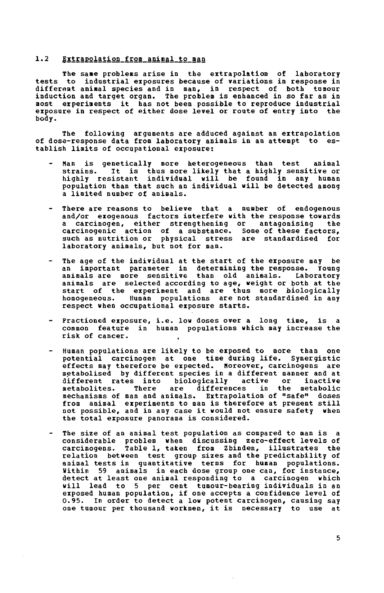#### **1.2 Extrapolation from aninal to nan**

**The sane problems arise in the extrapolation of laboratory tests to industrial exposures because of variations in response in different aninal species and in nan, in respect of both tusour induction and target organ. The problem is enhanced in so far as in nost experinents it has not been possible to reproduce industrial exposure in respect of either dose level or route of entry into the body.** 

**The following arguments are adduced against an extrapolation**  of dose-response data from laboratory animals in an attempt to **tablish linits of occupational exposure:** 

- **Han is genetically more heterogeneous than test animal strains. It is thus more likely that a highly sensitive or highly resistant individual will be found in any human population than that such an individual will be detected among a limited number of animals.**
- **There are reasons to believe that a number of endogenous and/or exogenous factors interfere with the response towards**  a carcinogen, either strengthening or antagonising **carcinogenic action of a substance. Some of these factors, such as nutrition or physical stress are standardised for laboratory animals, but not for man.**
- **The age of the individual at the start of the exposure may be an important parameter in determining the response. Young animals are more sensitive than old animals. Laboratory animals are selected according to age, weight or both at the start of the experiment and are thus more biologically homogeneous. Human populations are not standardised in any respect when occupational exposure starts.**
- **Fractioned exposure, i.e. low doses over a long time, is a common feature in human populations which may increase the risk of cancer. ,**
- **Human populations are likely to be exposed to more than one potential carcinogen at one time during life. Synergistic effects may therefore be expected. Horeover, carcinogens are metabolised by different species in a different manner and at different rates into biologically active or inactive**  are differences **mechanisms of man and animals. Extrapolation of "safe" doses from animal experiments to man is therefore at present still not possible, and in any case it would not ensure safety when the total exposure panorama is considered.**
- **The size of an animal test population as compared to man is a considerable problem when discussing zero-effect levels of carcinogens. Table 1, taken from Zbinden, illustrates the relation between test group sizes and the predictability of animal tests in guantitative terms for human populations. Within 59 animals in each dose group one can, for instance, detect at least one animal responding to a carcinogen which will lead to 5 per cent tumour-bearing individuals in an exposed human population, if one accepts a confidence level of 0.95. In order to detect a low potent carcinogen, causing say one tumour per thousand workmen, it is necessary to use at**

**5**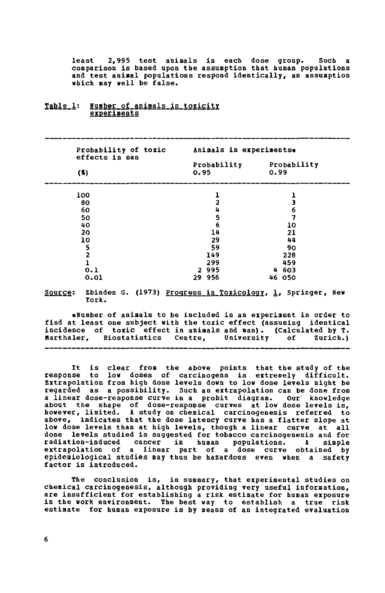**least 2,995 test animals in each dose group. Such a comparison is based upon the assumption that human populations and test animal populations respond identically, an assumption which may well be false.** 

| Probability of toxic<br>effects in man | Animals in experiments* |                     |  |
|----------------------------------------|-------------------------|---------------------|--|
|                                        | Probability<br>0.95     | Probability<br>0.99 |  |
| (5)                                    |                         |                     |  |
| 100                                    |                         |                     |  |
| 80                                     | 2                       | 3                   |  |
| 60                                     | 4                       | 6                   |  |
| 50                                     |                         |                     |  |
| 40                                     | $\frac{5}{6}$           | 10                  |  |
| 20                                     | 14                      | 21                  |  |
| 10                                     | 29                      | 44                  |  |
|                                        | 59                      | 90                  |  |
| $\frac{5}{2}$                          | 149                     | 228                 |  |
| $\overline{1}$                         | 299                     | 459                 |  |
| 0.1                                    | 2995                    | 4 603               |  |
| 0.01                                   | 956<br>29               | 050<br>46.          |  |

#### $Table_1$ : Number\_of\_animals\_in\_toxicity **experiments**

**Source: Zbinden G. (1973) Progress in Toxicology. 1, Springer, New ïork.** 

**«Number of animals to be included in an experiment in order to find at least one subject with the toxic effect (assuming identical incidence of toxic effect in animals and man). (Calculated by T. Harthaler, Biostatistics Centre, University of Zurich.)** 

**It is clear from the above points that the study of the response to low doses of carcinogens is extreoely difficult. Extrapolation from high dose levels down to low dose levels might be regarded as a possibility. Such an extrapolation can be done from a linear dose-response curve in a probit diagram. Our' knowledge about the shape of dose-response curves at low dose levels is, however, limited. & study on chemical carcinogenesis referred to above, indicates that the dose latency curve has a flatter slope at low dose levels than at high levels, though a linear curve at all dose levels studied is suggested for tobacco carcinogenesis and for radiation-induced cancer in human populations. A simple extrapolation of a linear part of a dose curve obtained by epidemiological studies may thus be hazardous even when a safety factor is introduced.** 

**The conclusion is, in summary, that experimental studies on chemical carcinogenesis, although providing very useful information, are insufficient for establishing a risk estimate for human exposure in the work environment. The best way to establish a true risk estimate for human exposure is by means of an integrated evaluation**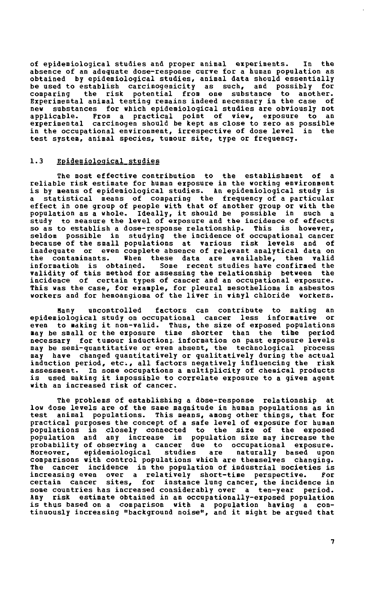**of epidemiological studies and proper animal experiments. In the absence of an adequate dose-response curve for a human population as obtained by epidemiological studies, animal data should essentially be used to establish carcinogenicity as such, and possibly for comparing the risk potential from one substance to another. Experimental animal testing remains indeed necessary in the case of new substances for which epidemiological studies are obviously not applicable. From a practical point of view, exposure to an experimental carcinogen should be kept as close to zero as possible in the occupational environment, irrespective of dose level in the test system, animal species, tumour site, type or frequency.** 

## **1.3 Epidemiological studies**

**The most effective contribution to the establishment of a reliable risk estimate for human exposure in the working environment is by means of epidemiological studies. &n epidemiological study is a statistical means of comparing the frequency of a particular effect in one group of people with that of another group or with the population as a whole. Ideally, it should be possible in such a study to measure the level of exposure and the incidence of effects so as to establish a dose-response relationship. This is however, seldom possible in studying the incidence of occupational cancer because of the small populations at various risk levels and of inadequate or even complete absence of relevant analytical data on the contaminants. when these data are available, then valid information is obtained. Some recent studies have confirmed the validity of this method for assessing the relationship between the incidence of certain types of cancer and an occupational exposure. This was the case, for example, for pleural mesothelioma in asbestos workers and for hemoangioma of the liver in vinyl chloride workers.** 

**Many uncontrolled factors can contribute to making an**  epidemiological study on occupational cancer less informative **even to making it non-valid. Thus, the size of exposed populations may be small or the exposure time shorter than the time period necessary for tumour induction;, information on past exposure levels may be semi-quantitative or even absent, the technological process may have changed quantitatively or qualitatively during the actual induction period, etc., all factors negatively influencing the risk assessment. In some occupations a multiplicity of chemical products is used making it impossible to correlate exposure to a given agent with an increased risk of cancer.** 

**The problems of establishing a dòse-response relationship at low dose levels are of the sane magnitude in human populations as in test animal populations. This means, among other things, that for practical purposes the concept of a safe level of exposure for human populations is closely connected to the size of the exposed population and any increase in population size may increase the probability of observing a cancer due to occupational exposure. Moreover, epidemiological studies are naturally based upon comparisons with control populations which are themselves changing. The cancer incidence in the population of industrial societies is increasing even over a relatively short-time perspective. For certain cancer sites, for instance lung cancer, the incidence in some countries has increased considerably over a ten-year period. Any risk estimate obtained in an occupationally-exposed population is thus based on a comparison with a population having a continuously increasing "background noise", and it might be argued that**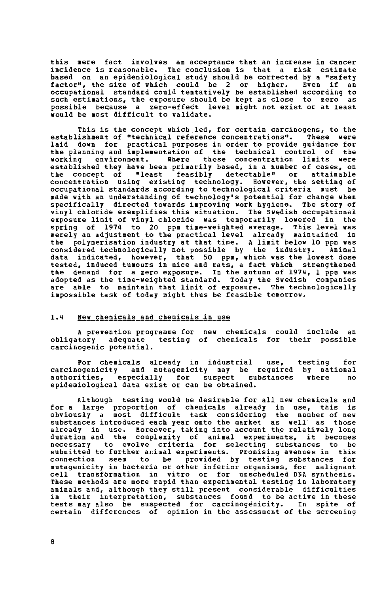this mere fact involves an acceptance that an increase in cancer incidence is reasonable. The conclusion is that a risk estimate based on an epidemiological study should be corrected by a "safety factor", the size of which could be 2 or higher. Even if an occupational standard could tentatively be established according to such estimations, the exposure should be kept as close to zero as possible because a zero-effect level might not exist or at least would be most difficult to validate.

This is the concept which led, for certain carcinogens, to the<br>ishment of "technical reference concentrations". These were establishment of "technical reference concentrations". laid down for practical purposes in order to provide guidance for the planning and implementation of the technical control of the working environment. Where these concentration limits were established they have been primarily based, in a nueber of cases, on the concept of "least feasibly detectable" or attainable concentration using existing technology. However, the setting of occupational standards according to technological criteria must be made with an understanding of technology's potential for change when specifically directed towards improving work hygiene. Tbe story of vinyl chloride exemplifies this situation. The Swedish occupational exposure limit of vinyl chloride was temporarily lowered in the spring of 1974 to 20 ppm time-weighted average. This level was merely an adjustment to the practical level already maintained in the polymerisation industry at that time. A limit below 10 ppm was considered technologically not possible by the industry. Animal data indicated, however, that 50 ppm, which was the lowest dose tested, induced tumours in mice and rats, a fact which strengthened the demand for a zero exposure. In the autumn of 1974, 1 ppm was adopted as the time-weighted standard. Today the Swedish companies are able to maintain that limit of exposure. The technologically impossible task of today might thus be feasible tomorrow.

## l.i» New\_çhemiçals\_and\_çhemiçals\_in\_use

A prevention programme for new chemicals could include an obligatory adeguate testing of chemicals for their possible carcinogenic potential.

For chemicals already in industrial use, testing for carcinogenicity and mutagenicity may be required by national authorities, especially for suspect substances where no epidemiological data exist or can be obtained.

Although testing would be desirable for all new chemicals and for a large proportion of chemicals already in use, this is obviously a most difficult task considering the number of new substances introduced each year onto the market as well as those already in use. Moreover, taking into account the relatively long duration and the complexity of animal experiments, it becomes necessary to evolve criteria for selecting substances to be submitted to further animal experiments. Promising avenues in this connection seem to be provided by testing substances for mutagenicity in bacteria or other inferior organisms, for malignant cell transformation in vitro or for unscheduled DNA synthesis. These methods are more rapid than experimental testing in laboratory animals and, although they still present considerable difficulties in their interpretation, substances found to be active in these tests may also be suspected for carcinogenicity. In spite of certain differences of opinion in the assessment of the screening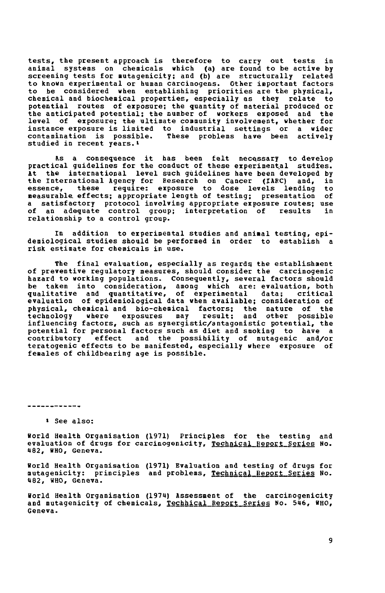**tests, the present approach is therefore to carry out tests in animal systems on chemicals which (a) are found to be active by screening tests for mutagenicity; and (b) are structurally related to known experimental or human carcinogens. Other important factors to be considered when establishing priorities are the physical, chemical and biochemical properties, especially as they relate to potential routes of exposure; the quantity of material produced or the anticipated potential: the number of workers exposed and the level of exposure; the ultimate community involvement, whether for instance exposure is limited to industrial settings or a wider contamination is possible. These problems have been actively studied in recent years.»** 

**fts a consequence it has been felt necessary to develop practical guidelines for the conduct of these experimental studies. it the international level such guidelines have been developed by the International Agency for Research on Cancer (IARC) and, in**  these require: exposure to dose levels lending **measurable effects; appropriate length of testing; presentation of a satisfactory protocol involving appropriate exposure routes; use of an adequate control group; interpretation of results in relationship to a control group.** 

**In addition to experimental studies and animal testing, epidemiological studies should be performed in order to establish a risk estimate for chemicals in use.** 

**The final evaluation, especially as regards the establishment of preventive regulatory measures, should consider the carcinogenic hazard to working populations. Consequently, several factors should be taken into consideration, among which are: evaluation, both qualitative and quantitative, of experimental data; critical evaluation of epidemiological data when available; consideration of physical, chemical and bio-chemical factors; the nature of the technology where exposures may result; and other possible influencing factors, such as synergistic/antagonistic potential, the potential for personal factors such as diet and smoking to have a**  effect and the possibility of mutagenic and/or **teratogenic effects to be manifested, especially where exposure of females of childbearing age is possible.** 

------------

**» See also:** 

**world Health Organisation (1971) Principles for the testing and evaluation of drugs for carcinogenicity. Technical Report Series No. «82, WHO, Geneva.** 

**World Health Organisation (1971) Evaluation and testing of drugs for mutagenicity: principles and problems. Technical Eeport Series No. U82, WHO, Geneva.** 

**World Health Organisation (1974) Assessment of the carcinogenicity and mutagenicity of chemicals. Technical Report Series No. 546, WHO, Geneva.**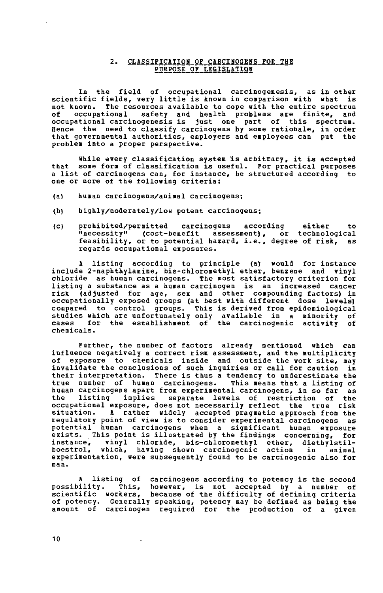#### 2. CLASSIFICATION OF CARCINOGENS FQR THE PURPOSE OF LEGISLATION

In the field of occupational carcinogenesis, as in other scientific fields, very little is known in comparison with what is not known. The resources available to cope with the entire spectrum of occupational safety and health problems are finite, and occupational carcinogenesis is just one part of this spectrum. Hence the need to classify carcinogens by some rationale, in order that governmental authorities, employers and employees can put the problem into a proper perspective.

While every classification system is arbitrary, it is accepted that some form of classification is useful. For practical purposes a list of carcinogens can, for instance, be structured according to one or more of the following criteria:

- (a) human carcinogens/animal carcinogens;
- (b) highly/moderately/low potent carcinogens;
- (c) prohibited/permitted carcinogens according either to "necessity" (cost-benefit assessment), or technological feasibility, or to potential hazard, i.e., degree of risk, as regards occupational exposures.

A listing according to principle (a) would for instance include 2-naphthylamine, bis-chloromethyl ether, benzene and vinyl chloride as human carcinogens. The most satisfactory criterion for listing a substance as a human carcinogen is an increased cancer risk (adjusted for age, sex and other compounding factors) in occupationally exposed groups (at best with different dose levels) compared to control groups. This is derived from epidemiological studies which are unfortunately only available in a minority of cases for the establishment of the carcinogenic activity of chemicals.

Further, the number of factors already mentioned which can influence negatively a correct risk assessment, and the multiplicity of exposure to chemicals inside and outside the work site, may invalidate the conclusions of such inquiries or call for caution in their interpretation. There is thus a tendency to underestimate the true number of human carcinogens. This means that a listing of human carcinogens apart from experimental carcinogens, in so far as the listing implies separate levels of restriction of the occupational exposure, does not necessarily reflect the true risk situation. A rather widely accepted pragmatic approach from the regulatory point of view is to consider experimental carcinogens as potential human carcinogens when a significant human exposure exists. This point is illustrated by the findings concerning, for instance, vinyl chloride, bis-chloromethyl ether, diethylstilboestrol, which, having shown carcinogenic action in animal boestrol, which, having shown carcinogenic action in animal<br>experimentation, were subsequently found to be carcinogenic also for man.

A listing of carcinogens according to potency is the second possibility. This, however, is not accepted by a number of scientific workers, because of the difficulty of defining criteria of potency. Generally speaking, potency may be defined as being the amount of carcinogen required for the production of a given

10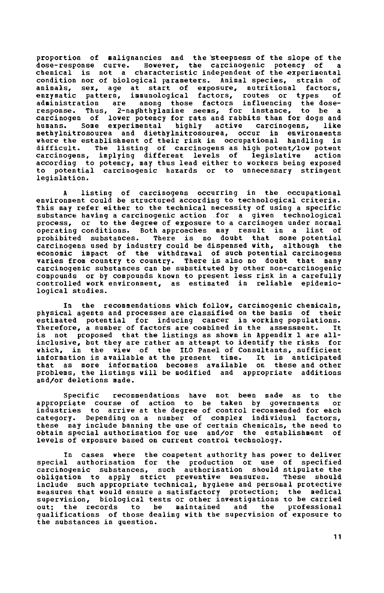proportion of malignancies and the steepness of the slope of the<br>dose-response curve. However, the carcinogenic potency of a However, the carcinogenic potency of chemical is not a characteristic independent of the experimental condition nor of biological parameters. Animal species, strain of animals, sex, age at start of exposure, nutritional factors, enzymatic pattern, immunological factors, routes or types of administration are among those factors influencing the doseresponse. Thus, 2-naphthylamine seems, for instance, to be a carcinogen of lower potency for rats and rabbits than for dogs and humans. Some experimental highly active carcinogens, like methylnitrosourea and dietbylnitrosourea, occur in environments where the establishment of their risk in occupational handling is difficult. The listing of carcinogens as high potent/low potent carcinogens, implying different levels of legislative action according to potency, may thus lead either to workers being exposed to potential carcinogenic hazards or to unnecessary stringent legislation.

A listing of carcinogens occurring in the occupational environment could be structured according to technological criteria. This may refer either to the technical necessity of using a specific substance having a carcinogenic action for a given technological process, or to the degree of exposure to a carcinogen under normal operating conditions. Both approaches may result in a list of prohibited substances. There is no doubt that some potential carcinogens used by industry could be dispensed with, although the economic impact of the withdrawal of such potential carcinogens varies from country to country. There is also no doubt that many carcinogenic substances can be substituted by other non-carcinogenic compounds or by compounds known to present less risk in a carefully controlled work environment, as estimated in reliable epidemiological studies.

In the recommendations which follow, carcinogenic chemicals, physical agents and processes are classified on the basis of their estimated potential for inducing cancer in working populations. Therefore, a number of factors are combined in the assessment. It is not proposed that the listings as shown in Appendix 1 are allinclusive, but they are rather an attempt to identify the risks for which, in the view of the ILO Panel of Consultants, sufficient<br>information is available at the present time. It is anticipated information is available at the present time. that as more information becomes available on these and other problems, the listings will be modified and appropriate additions and/or deletions made.

Specific recommendations have not been made as to the appropriate course of action to be taken by governments or industries to arrive at the degree of control recommended for each category. Depending on a number of complex individual factors, these may include banning the use of certain chemicals, the need to obtain special authorisation for use and/or the establishment of levels of exposure based on current control technology.

In cases where the competent authority has power to deliver special authorisation for the production or use of specified carcinogenic substances, such authorisation should stipulate the<br>obligation to apply strict preventive measures. These should obligation to apply strict preventive measures. include such appropriate technical, hygiene and personal protective measures that would ensure a satisfactory protection; the medical supervision, biological tests or other investigations to be carried out; the records to be maintained and the professional qualifications of those dealing with the supervision of exposure to the substances in question.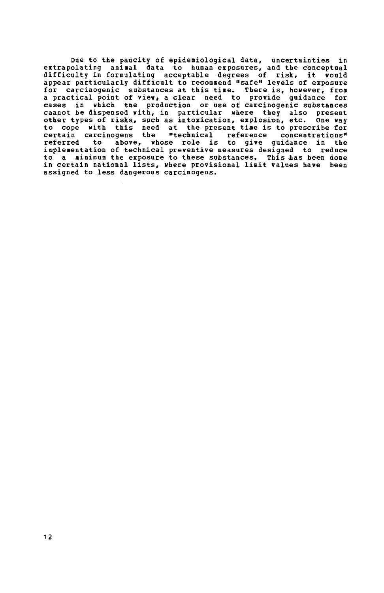Due to the paucity of epidemiological data, uncertainties in extrapolating animal data to human exposures, and the conceptual difficulty in formulating acceptable degrees of risk, it would appear particularly difficult to recommend "safe" levels of exposure for carcinogenic substances at this time. There is, however, from a practical point of view, a clear need to provide quidance for cases in which the production or use of carcinogenic substances cannot be dispensed with, in particular where they also present other types of risks, such as intoxication, explosion, etc. One way to cope with this need at the present time is to prescribe for certain carcinogens the "technical reference concentrations" referred to above, whose role is to give guidance in the implementation of technical preventive measures designed to reduce to a minimum the exposure to these substances. This has been done in certain national lists, where provisional limit values have been assigned to less dangerous carcinogens.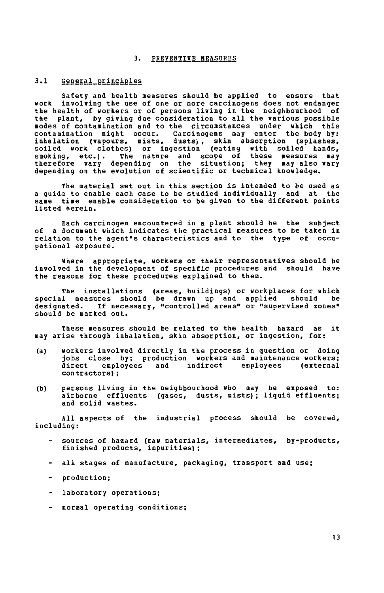#### **3. PREVENTIVE MEASURES**

#### 3.1 General principles

**Safety and health measures should be applied to ensure that work involving the use of one or more carcinogens does not endanger the health of workers or of persons living in the neighbourhood of the plant, by giving due consideration to all the various possible modes of contamination and to the circumstances under which this contamination might occur. Carcinogens may enter the body by: inhalation (vapours, mists, dusts), skin absorption (splashes, soiled work clothes) or ingestion (eating with soiled hands, smoking, etc.). The nature and scope of these measures may therefore vary depending on the situation; they «ay also vary depending on the evolution of scientific or technical knowledge.** 

**The material set out in this section is intended to be used as a guide to enable each case to be studied individually and at the same time enable consideration to be given to the different points listed herein.** 

**Each carcinogen encountered in a plant should be the subject of a document which indicates the practical measures to be taken in relation to the agent's characteristics and to the type of occupational exposure.** 

**Where appropriate, workers or their representatives should be involved in the development of specific procedures and should have the reasons for these procedures explained to them.** 

**The installations (areas, buildings) or workplaces for which special measures should be drawn up and applied should be designated. If necessary, "controlled areas" or "supervised zones" should be marked out.** 

**These measures should be related to the health hazard as it may arise through inhalation, skin absorption, or ingestion, for:** 

- **(a) workers involved directly in the process in question or doing jobs close by; production workers and maintenance workers;**  employees and indirect employees **contractors);**
- **(b) persons living in the neighbourhood who may be exposed to: airborne effluents (gases, dusts, mists); liquid effluents; and solid wastes.**

**All aspects of the industrial process should be covered, including:** 

- **sources of hazard (raw materials, intermediates, by-products, finished products, impurities);**
- **all stages of manufacture, packaging, transport and use;**
- **production;**
- **laboratory operations;**
- **normal operating conditions;**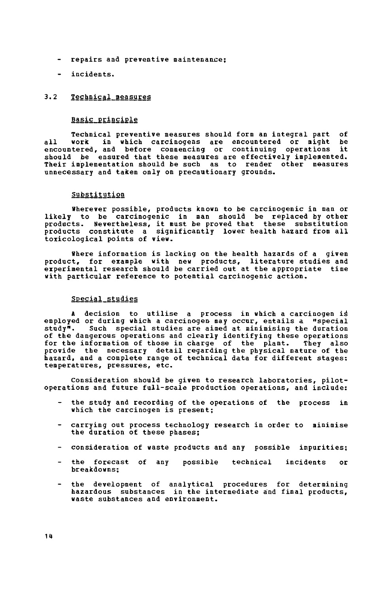- repairs and preventive maintenance;
- incidents.

## 3.2 Technical measures

## Basic principle

Technical preventive measures should form an integral part of all work in which carcinogens are encountered or night be encountered, and before commencing or continuing operations it should be ensured that these measures are effectively implemented. Their implementation should be such as to render other measures unnecessary and taken only on precautionary grounds.

## Substitution

Wherever possible, products known to be carcinogenic in man or likely to be carcinogenic in man should be replaced by other products. Nevertheless, it must be proved that these substitution products constitute a significantly lower health hazard from all toxicological points of view.

Where information is lacking on the health hazards of a given product, for example with new products, literature studies and experimental research should be carried out at the appropriate time with particular reference to potential carcinogenic action.

#### Special studies

A decision to utilise a process in which a carcinogen is employed or during which a carcinogen- may occur, entails a "special study". Such special studies are aimed at minimising the duration of the dangerous operations and clearly identifying these operations for the information of those in charge of the plant. They also provide the necessary detail regarding the physical nature of the hazard, and a complete range of technical data for different stages: temperatures, pressures, etc.

Consideration should be given to research laboratories, pilotoperations and future full-scale production operations, and include:

- the study and recording of the operations of the process in which the carcinogen is present;
- carrying out process technology research in order to minimise the duration of these phases;
- consideration of waste products and any possible impurities;
- the forecast of any possible technical incidents or breakdowns;
- the development of analytical procedures for determining hazardous substances in the intermediate and final products, waste substances and environment.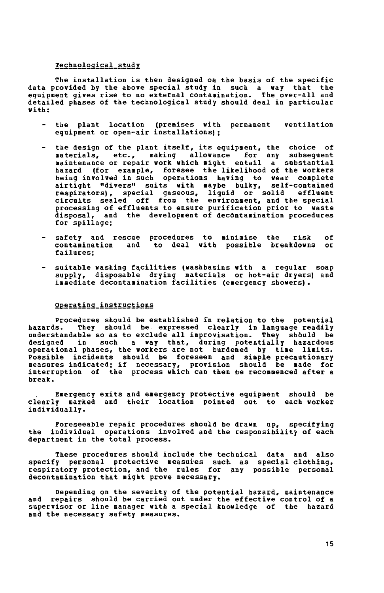#### **Technological study**

**The installation is then designed on the basis of the specific data provided by the above special study in such a way that the eguipnent gives rise to no external contaoination. The over-all and detailed phases of the technological study should deal in particular with:** 

- **the plant location (prenises with permanent ventilation equipment or open-air installations) ;**
- **the design of the plant itself, its equipment, the choice of materials, etc., making allowance for any subsequent maintenance or repair work which might entail a substantial hazard (for example, foresee the likelihood of the workers being involved in such operations having to wear complete airtight "divers" suits with maybe bulky, self-contained respirators), special gaseous, liquid or solid effluent circuits sealed off from the environment, and the special processing of effluents to ensure purification prior to waste disposal, and the development of decontamination procedures for spillage;**
- **safety and rescue procedures to minimise the risk of contamination and to deal with possible breakdowns or failures;**
- **suitable washing facilities (washbasins with a regular soap supply, disposable drying materials or hot-air dryers) and immediate decontamination facilities (emergency showers).**

#### **Operating instructions**

**Procedures should be established in relation to the potential**  They should be expressed clearly in language readily **understandable so as to exclude all improvisation. They should be**  designed in such a way that, during potentially hazardous **operational phases, the workers are not burdened by time limits. Possible incidents should be foreseen and simple precautionary measures indicated; if necessary, provision should be made for interruption of the process which can then be recommenced after a break.** 

**Emergency exits and emergency protective equipment should be clearly marked and their location pointed out to each worker individually.** 

**Foreseeable repair procedures should be drawn up, specifying the individual operations involved and the responsibility of each department in the total process.** 

**These procedures should include the technical data and also specify personal protective measures such, as special clothing, respiratory protection, and the rules for any possible personal decontamination that might prove necessary.** 

**Depending on the severity of the potential hazard, maintenance and repairs should be carried out under the effective control of a supervisor or line manager with a special knowledge of the hazard and the necessary safety measures.**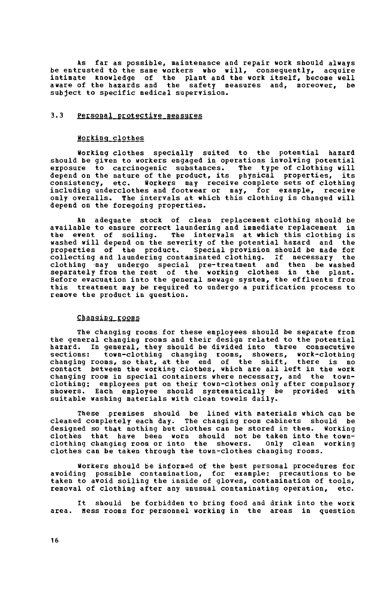As far as possible, maintenance and repair work should always be entrusted tò the same workers who will, consequently, acquire intimate knowledge of the plant and the work itself, become well aware of the hazards and the safety measures and, moreover, be subject to specific medical supervision.

# 3.3 Personal protective measures

#### Working\_çlothes

Working clothes specially suited to the potential hazard should be given to workers engaged in operations involving potential exposure to carcinogenic substances. The type of clothing will depend on the nature of the product, its physical properties, its consistency, etc. Workers may receive complete sets of clothing including underclothes and footwear or may, for example, receive only overalls. The intervals at which this clothing is changed will depend on the foregoing properties.

An adequate stock of clean replacement clothing should be available to ensure correct laundering and immediate replacement in the event of soiling. The intervals at which this clothing is washed will depend on the severity of the potential hazard and the properties of the product. Special provision should be made for collecting and laundering contaminated clothing. If necessary the clothing may undergo special pre-treatment and then be washed separately from the rest of the working clothes in the plant. Before evacuation into the general sewage system, the effluents from this treatment may be required to undergo a purification process to remove the product in question.

#### Changing rooms

The changing rooms for these employees should be separate from the general changing rooms and their design related to the potential hazard. In general, they should be divided into three consecutive sections: town-clothing changing rooms, showers, work-clothing changing rooms, so that, at the end of the shift, there is no contact between the working clothes, which are all left in the work changing room in special containers where necessary, and the townclothing; employees put on their town-clothes only after compulsory showers. Each employee should systematically be provided with suitable washing materials with clean towels daily.

These premises should be lined with materials which can be cleaned completely each day. The changing room cabinets should be designed so that nothing but clothes can be stored in them. Working clothes that have been worn should not be taken into the townclothing changing room or into the showers. Only clean working clothes can be taken through the town-clothes changing rooms.

Workers should be informed of the best personal procedures for avoiding possible contamination, for example: precautions to be taken to avoid soiling the inside of gloves, contamination of tools, removal of clothing after any unusual contaminating operation, etc.

It should be forbidden to bring food and drink into the work area. Mess rooms for personnel working in the areas in question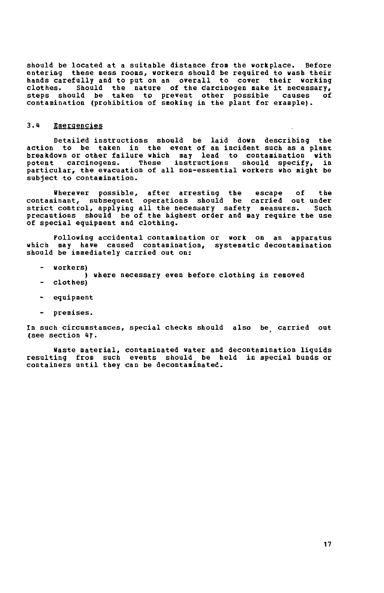**should be located at a suitable distance from the workplace. Before**  entering these mess rooms, workers should be required to wash their **hands carefully and to put on an overall to cover their working clothes. Should the nature of the carcinogen make it necessary, steps should be taken to prevent other possible causes of contamination (prohibition of smoking in the plant for example).** 

### 3.4 **Emergencies**

**Detailed instructions should be laid down describing the action to be taken in the event of an incident such as a plant breakdown or other failure which may lead to contamination with potent carcinogens. These instructions should specify, in particular, the evacuation of all non-essential workers who night be subject to contamination.** 

**Wherever possible, after arresting the escape of the contaminant, subsequent operations should be carried out under strict control, applying all the necessary safety measures. Such precautions should be of the highest order and may require the use of special equipment and clothing.** 

**Following accidental contamination or work on an apparatus which may have caused contamination, systematic decontamination should be immediately carried out on:** 

- **workers)**
- **) where necessary even before clothing is removed**
- **clothes)**
- **equipment**
- **premises.**

**In such circumstances, special checks should also be carried out (see section** *Hf.* 

**Haste material, contaminated water and decontamination liquids resulting from such events should be held in special bunds or containers until they can be decontaminated.**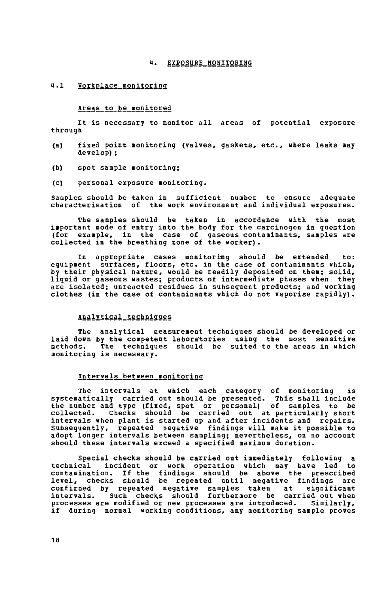## 4. EXPOSURE HONITORING

## 4.1 Workplace\_monitoring

#### Areas\_to\_be\_monitored

It is necessary to monitor all areas of potential exposure through

- (a) fixed point monitoring (valves, gaskets, etc., where leaks may develop) ;
- (b) spot sample monitoring;
- (c) personal exposure monitoring.

Samples should be taken in sufficient number to ensure adequate characterisation of the work environment and individual exposures.

The samples should be taken in accordance with the most important mode of entry into the body for the carcinogen in question (for example, in the case of gaseous contaminants, samples are collected in the breathing zone of the worker).

In appropriate cases monitoring should be extended to: equipment surfaces, floors, etc. in the case of contaminants which, by their physical nature, would be readily deposited on them; solid, liquid or gaseous wastes; products of intermediate phases when they are isolated; unreacted residues in subseguent products; and working clothes (in the case of contaminants which do not vaporise rapidly).

#### Analytical techniques

The analytical measurement techniques should be developed or laid down by the competent laboratories using the most sensitive methods. The techniques should be suited to the areas in which monitoring is necessary.

## Intervals between monitoring

The intervals at which each category of monitoring is systematically carried out should be presented. This shall include the number and type (fixed, spot or personal) of samples to be collected. Checks should be carried out at particularly short intervals when plant is started up and after incidents and repairs. Subsequently, repeated negative findings will make it possible to adopt longer intervals between sampling; nevertheless, on no account should these intervals exceed a specified maximum duration.

Special checks should be carried out immediately following a technical incident or work operation which may have led to contamination. If the findings should be above the prescribed level, checks should be repeated until negative findings are confirmed by repeated negative samples taken at intervals. Such checks should furthermore be carried out when processes are modified or new processes are introduced. Similarly, if during normal working conditions, any monitoring sample proves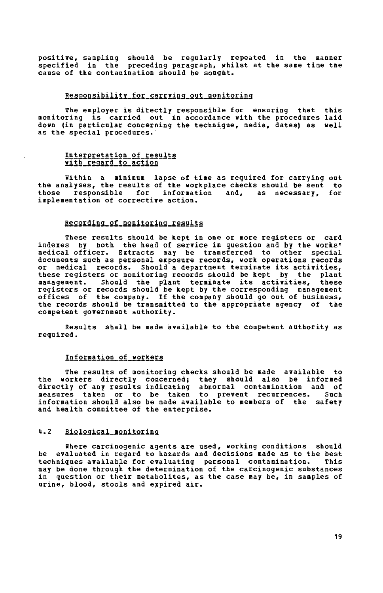**positive, sampling should be regularly repeated in the manner specified in the preceding paragraph, whilst at the same time the cause of the contamination should be sought.** 

## **Responsibility for carrying out monitoring**

**The employer is directly responsible for ensuring that this monitoring is carried out in accordance with the procedures laid down (in particular concerning the technigue, media, dates) as well as the special procedures.'** 

#### Interpretation of results with regard to action

**Within a minimum lapse of time as reguired for carrying out the analyses, the results of the workplace checks should be sent to those responsible for information and, as necessary, for implementation of corrective action.** 

#### **Reçordin2\_of\_monitorin2\_results**

**These results should be kept in one or more registers or card indexes by both the head of service in question and by the works' medical officer. Extracts may be transferred to other special documents such as personal exposure records, work operations records or medical records. Should a department terminate its activities, these registers or monitoring records should be kept by the plant management. Should the plant terminate its activities, these registers or records should be kept by the corresponding management offices of the company. If the company should go out of business, the records should be transmitted to the appropriate agency of the competent government authority.** 

**Results shall be made available to the competent authority as required.** 

#### **Information of workers**

**The results of monitoring checks should be made available to the workers directly concerned; they should also be informed directly of any results indicating abnormal contamination and of measures taken or to be taken to prevent recurrences. Such information should also be made available to members of the safety and health committee of the enterprise.** 

## **i». 2 Biologiçal\_monitorina**

**Where carcinogenic agents are used, working conditions should be evaluated in regard to hazards and decisions made as to the best techniques available for evaluating personal contamination. This may be done through the determination of the carcinogenic substances in question or their metabolites, as the case may be, in samples of urine, blood, stools and expired air.**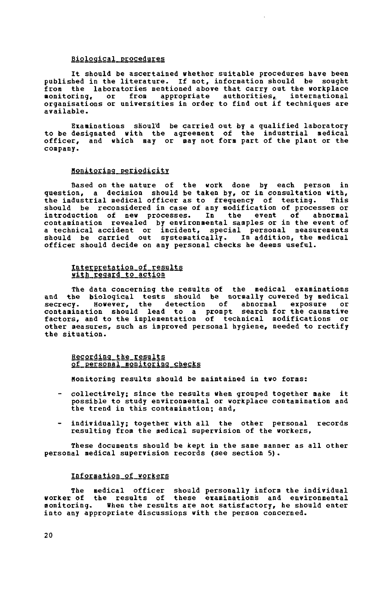#### **Biological, procedures**

**It should be ascertained whether suitable procedures have been published in the literature. If not, information should be sought fron the laboratories mentioned above that carry out the workplace monitoring, or from appropriate authorities,. international organisations or universities in order to find out if techniques are available.** 

**Examinations shoul'd be carried out by a qualified laboratory to be designated with the agreement of the industrial medical officer, and which may or may not form part of the plant or the company.** 

## **Monitoring periodicity**

**Based on the nature of the work done by each person in question, a decision should be taken by, or in consultation with, the industrial medical officer as to frequency of testing. This should be reconsidered in case of any modification of processes or introduction of new processes. In the event of abnormal contamination revealed by environmental samples or in the event of a technical accident or incident, special personal measurements should be carried out systematically. In addition, the medical officer should decide on any personal checks he deems useful.** 

#### **Interpretation of results**  with regard to action

**The data concerning the results of the medical examinations and the biological tests should be normally covered by medical secrecy. However, the detection of abnormal exposure or contamination should lead to a prompt search for the causative factors, and to the implementation of technical modifications or other measures, such as improved personal hygiene, needed to rectify the situation.** 

#### **Recording, the results of personal monitoring checks**

**Monitoring results should be maintained in two forms:** 

- **collectively; since the results when grouped together make it possible to study environmental or workplace contamination and the trend in this contamination; and,**
- **individually; together with all the other personal records resulting from the medical supervision of the workers,**

**These documents should be kept in the same manner as all other personal medical supervision records (see section 5).** 

#### Information of workers

**The medical officer should personally inform the individual worker of the results of these examinations and environmental monitoring. When the results are not satisfactory, he should enter into any appropriate discussions with the person concerned.**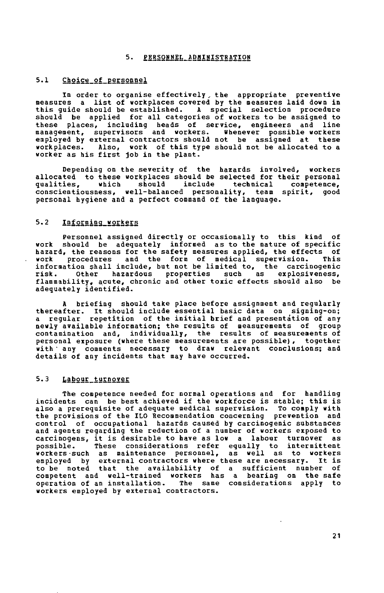#### **5. PERSOHHEL ADMINISTRATION**

#### **5.1 Choice of personnel**

**In order to organise effectively , the appropriate preventive measures a list of workplaces covered by the measures laid down in this guide should be established. A special selection procedure should be applied for all categories of workers to be assigned to these places, including heads of service, engineers and line management, supervisors and workers. Whenever possible workers employed by external contractors should not be assigned at these workplaces. Also, work of this type should not be allocated to a worker as his first job in the plant.** 

**Depending on the severity of the hazards involved, workers allocated to these workplaces should be selected for their personal gualities, which should include technical competence, conscientiousness, well-balanced personality, team spirit, good personal hygiene and a perfect command of the language.** 

## **5.2 Informing\_workers**

**Personnel assigned directly or occasionally to this kind of work should be adeguately informed as to the nature of specific hazard, the reasons for the safety measures applied, the effects of work procedures and the form of medical supervision. This information shall include, but not be limited to, the carcinogenic risk. Other hazardous properties such as explqsiveness, flammability, acute, chronic and other toxic effects should also be adeguately identified.** 

**A briefing should take place before assignment and regularly thereafter. It should include essential basic data on signing-on; a regular repetition of the initial brief and presentation of any newly available information; the results of measurements of group contamination and, individually, the results of measurements of personal exposure (where these measurements are possible), together with • any comments necessary to draw relevant conclusions; and details of any incidents that may have occurred.** 

# 5.3 Labour\_turnover

**The competence needed for normal operations and for handling incidents can be best achieved if the workforce is stable; this is also a prereguisite of adeguate medical supervision. To comply with the provisions of the ILO Recommendation concerning prevention and control of occupational hazards caused by carcinogenic substances and agents regarding the reduction of a number of workers exposed to carcinogens, it is desirable to have as low a labour turnover as possible. These considerations refer egually to intermittent workers-such as maintenance personnel, as well as to workers employed by external contractors where these are necessary. It is to be noted that the availability of a sufficient number of competent and well-trained workers has a bearing on the safe operation of an installation. The same considerations apply to workers employed by external contractors.**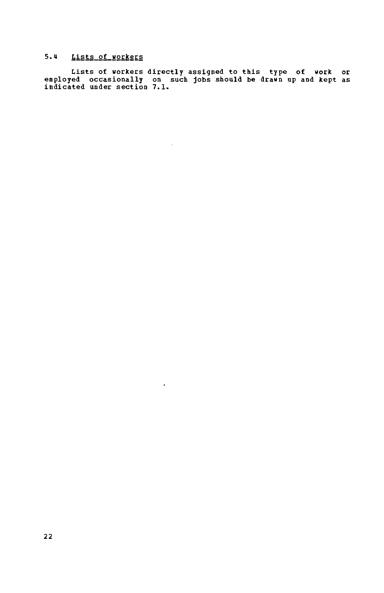# **5. 4 Lists of workers**

**Lists of workers directly assigned to this type of work or employed occasionally on such jobs should be drawn up and kept as indicated under section 7.1.** 

 $\sim$ 

 $\mathbf{v}$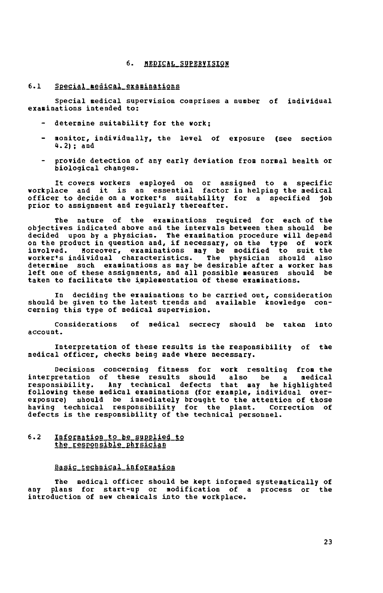#### **6.** MEDICAL SUPERVISION

## **6.1** Special medical examinations

**Special medical supervision comprises a number of individual examinations intended to:** 

- **determine suitability for the work;**
- **monitor, individually, the level of exposure (see section 4.2) ; and**
- **provide detection of any early deviation from normal health or biological changes.**

**It covers workers employed on or assigned to a specific workplace and it is an essential factor in helping the medical officer to decide on a worker's suitability for a specified job prior to assignment and regularly thereafter.** 

**The nature of the examinations required for each of the objectives indicated above and the intervals between them should be decided upon by a physician. The examination procedure will depend on the product in question and, if necessary, on the type of work involved. Moreover, examinations may be modified to suit the worker's individual characteristics. The physician should also determine such examinations as may be desirable after a worker has left one of these assignments, and all possible measures should be taken to facilitate the implementation of these examinations.** 

**In deciding the examinations to be carried out, consideration should be given to the latest trends and available knowledge concerning this type of medical supervision.** 

**Considerations of medical secrecy should be taken into account.** 

**Interpretation of these results is the responsibility of the medical officer, checks being made where necessary.** 

**Decisions concerning fitness for work resulting from the interpretation of these results should also be a medical responsibility. Any technical defects that may he highlighted following these medical examinations (for example, individual overexposure) should be immediately brought to the attention of those having technical responsibility for the plant. Correction of defects is the responsibility of the technical personnel.** 

#### **6.2 Infor§ation\_to\_be\_su££lied\_to the responsible physician**

#### **Basic technical information**

**The medical officer should be kept informed systematically of any plans for start-up or modification of a process or the introduction of new chemicals into the workplace.**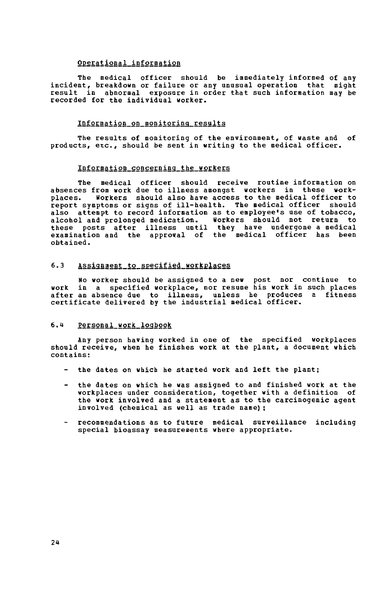#### Operational information

The medical officer should be immediately informed of any incident, breakdown or failure or any unusual operation that might result in abnormal exposure in order that such information may be recorded for the individual worker.

#### Information on monitoring results

The results of monitoring of the environment, of waste and of products, etc., should be sent in writing to the medical officer.

## Information\_concerning\_the\_workers

The medical officer should receive routine information on absences from work due to illness amongst workers in these workplaces. workers should also have access to the medical officer to report symptoms or signs of ill-health. The medical officer should also attempt to record information as to employee's use of tobacco, alcohol and prolonged medication. workers should not return to these posts after illness until they have undergone a medical examination and the approval of the medical officer has been obtained.

#### 6.3 Assignment to specified workplaces

No worker should be assigned to a new post nor continue to work in a specified workplace, nor resume his work in such places after an absence due to illness, unless he produces a fitness certificate delivered by the industrial medical officer.

#### 6.4 Personal work logbook

Any person having worked in one of the specified workplaces should receive, when he finishes work at the plant, a document which contains:

- the dates on which he started work and left the plant;
- the dates on which he was assigned to and finished work at the workplaces under consideration, together with a definition of the work involved and a statement as to the carcinogenic agent involved (chemical as well as trade name);
- recommendations as to future medical surveillance including special bioassay measurements where appropriate.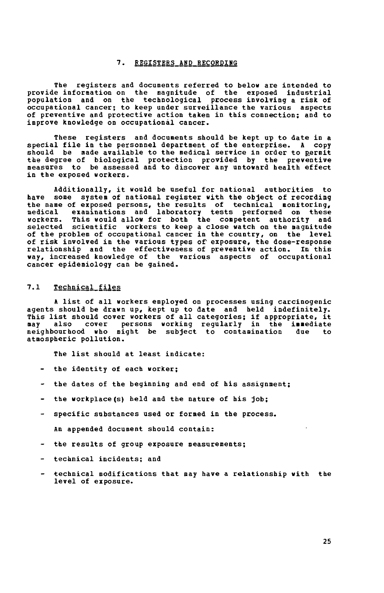## **7. REGISTERS AND RECORDING**

**The registers and documents referred to below are intended to provide information on the magnitude of the exposed industrial population and on the technological process involving a risk of occupational cancer; to keep under surveillance the various aspects of preventive and protective action taken in this connection; and to improve knowledge on occupational cancer.** 

**These registers and documents should be kept up to date in a special file in the personnel department of the enterprise. A copy should be made available to the medical service in order to permit the degree of biological protection provided by the preventive measures to be assessed and to discover any untoward health effect in the exposed workers.** 

**Additionally, it would be useful for national authorities to have some system of national register with the object of recording the name of exposed persons, the results of technical monitoring, medical examinations and laboratory tests performed on these workers. This would allow for both the competent authority and selected scientific workers to keep a close watch on the magnitude**  of the problem of occupational cancer in the country, on the level **of risk involved in the various types of exposure, the dose-response relationship and the effectiveness of preventive action. In this way, increased knowledge of the various aspects of occupational cancer epidemiology can be gained.** 

#### **7.1 Technical files**

**A list of all workers employed on processes using carcinogenic agents should be drawn up, kept up to date and held indefinitely. This list should cover workers of all categories; if appropriate, it may also cover persons working regularly in the immediate neighbourhood who might be subject to contamination due to atmospheric pollution.** 

**The list should at least indicate:** 

- **the identity of each worker;**
- **the dates of the beginning and end of his assignment;**
- **the workplace (s) held and the nature of his job;**
- **specific substances used or formed in the process.**

**An appended document should contain:** 

- **the results of group exposure measurements;**
- **technical incidents; and**
- **technical modifications that may have a relationship with the level of exposure.**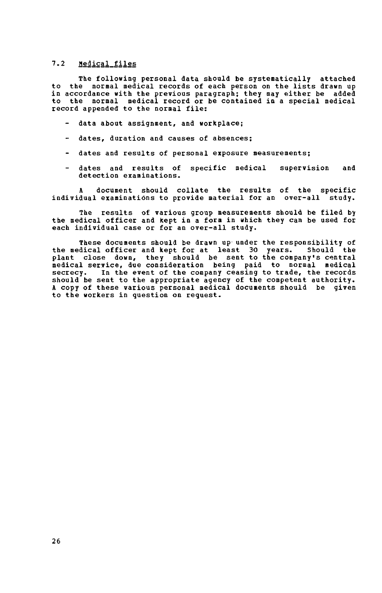# 7.2 **Nedical\_files**

The following personal data should be systematically attached to the normal medical records of each person on the lists drawn up in accordance with the previous paragraph; they may either be added to the normal medical record or be contained in a special medical record appended to the normal file:

- data about assignment, and workplace;
- dates, duration and causes of absences;
- dates and results of personal exposure measurements;
- dates and results of specific medical supervision and detection examinations.

document should collate the results of the specific individual examinations to provide material for an over-all study.

The results of various group measurements should be filed by the medical officer and kept in a fora in which they can be used for each individual case or for an over-all study.

These documents should be drawn up under the responsibility of the medical officer and kept for at least 30 years. Should the plant close down, they should be sent to the company's central medical service, due consideration being paid to normal medical secrecy. In the event of the company ceasing to trade, the records should be sent to the appropriate agency of the competent authority. A copy of these various personal medical documents should be given to the workers in question on request.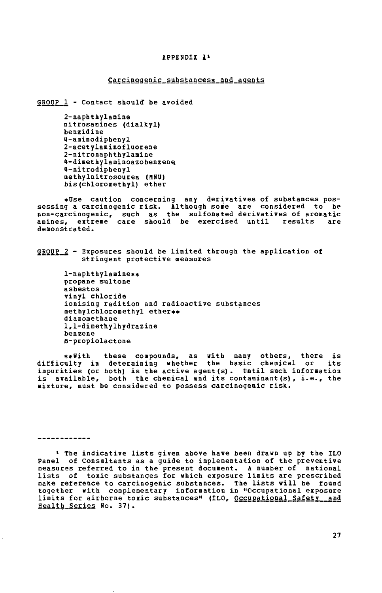#### **APPENDIX 1»**

#### **Carcinogenic substances\* and agents**

**GRODP 1 - Contact should" be avoided** 

**2-naphthylamine nitrosamines (dialkyl) benzidine 4-aminodiphenyl 2-acetylaminofluorene 2-nitronaphthylamine U-dimethylaminoazobenzene. 4-nitrodiphenyl aethylnitrosourea (MNÜ) bis (chloromethyl) ether** 

**\*0se caution concerning any derivatives of substances possessing a carcinogenic risk. Although some are considered to be non-carcinogenic, such as the sulfonated derivatives of aromatic amines, extreme care should be exercised until results are demonstrated.** 

**GB0UP\_2 - Exposures should be limited through the application of stringent protective measures** 

**1-naphthylamine\*\* propane sultone asbestos**  ionising radition and radioactive substances  $\verb|methodI|$ <sub>c</sub> and  $\verb|methodI|$ diazomethane **1,1-dimethylhydrazine**<br>benzene **1,1-dimettoylhydrazine benzene** 

**\*\*With these** ulty in determining whether the basic chemical or its impurities (or both) is the active agent(s). Until such information is available, both the chemical and its contaminant (s), i.e., the mixture, must be considered to possess carcinoqenic risk. **mixture, must be considered to possess carcinogenic risk.** 

------------

**» The indicative lists given above have been drawn up by the ILO Panel of Consultants as a guide to implementation of the preventive measures referred to in the present document. A number of national lists of toxic substances for which exposure limits are prescribed make reference to carcinogenic substances. The lists will be found together with complementary information in "Occupational exposure limits for airborne toxic substances" (ILO, Occupational Safety and Health\_Series No.37).**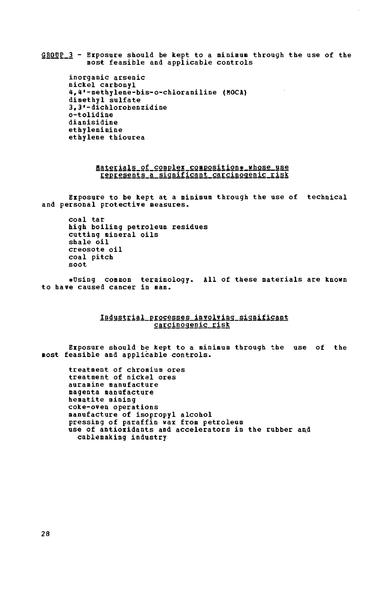**GRODP 3 - Exposure should be kept to a mininun through the use of the most feasible and applicable controls** 

**inorganic arsenic nickel carbonyl**  4,4\*-methylene-bis-o-chloraniline (HOCA) 3.3'-dichlorohenzidine **3,3'-dichlorobenzidine**  dianisidine **dianisidine**  ethylene thiourea

#### **Materials of complex composition\* whose use represents a significant carcinogenic risk**

**Exposure to be kept at a minimum through the use of technical and personal protective measures.** 

**coal tar high boiling petroleum residues**  cutting mineral oils<br>shale oil **shale oil**  coal pitch soot

 $\mathbf{r}$ **«Using common terminology. All of these materials are known to have caused cancer in nan.** 

## **Industrial processes involving significant carcinogenic risk**

**Exposure should be kept to a minimum through the use of the most feasible and applicable controls.** 

**treatment of chromium ores treatment of nickel ores auramine manufacture magenta manufacture hematite mining coke-oven operations manufacture of isopropyl alcohol pressing of paraffin wax from petroleum**  use of antioxidants and accelerators in the rubber and **cablemaking industry**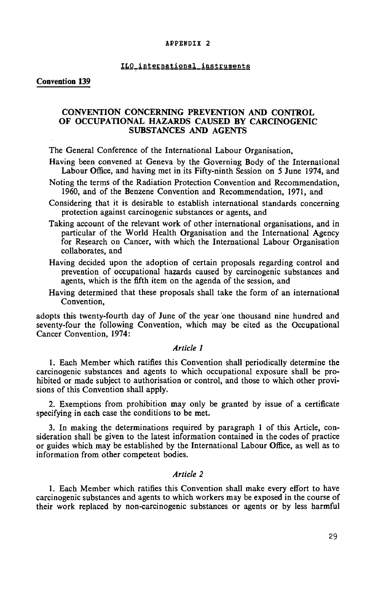#### **APPENDIX 2**

#### lLP\_international instruments

## Convention 139

# CONVENTION CONCERNING PREVENTION AND CONTROL OF OCCUPATIONAL HAZARDS CAUSED BY CARCINOGENIC SUBSTANCES AND AGENTS

The General Conference of the International Labour Organisation,

- Having been convened at Geneva by the Governing Body of the International Labour Office, and having met in its Fifty-ninth Session on 5 June 1974, and
- Noting the terms of the Radiation Protection Convention and Recommendation, 1960, and of the Benzene Convention and Recommendation, 1971, and
- Considering that it is desirable to establish international standards concerning protection against carcinogenic substances or agents, and
- Taking account of the relevant work of other international organisations, and in particular of the World Health Organisation and the International Agency for Research on Cancer, with which the International Labour Organisation collaborates, and
- Having decided upon the adoption of certain proposals regarding control and prevention of occupational hazards caused by carcinogenic substances and agents, which is the fifth item on the agenda of the session, and
- Having determined that these proposals shall take the form of an international Convention,

adopts this twenty-fourth day of June of the year one thousand nine hundred and seventy-four the following Convention, which may be cited as the Occupational Cancer Convention, 1974:

## *Article 1*

1. Each Member which ratifies this Convention shall periodically determine the carcinogenic substances and agents to which occupational exposure shall be prohibited or made subject to authorisation or control, and those to which other provisions of this Convention shall apply.

2. Exemptions from prohibition may only be granted by issue of a certificate specifying in each case the conditions to be met.

3. In making the determinations required by paragraph 1 of this Article, consideration shall be given to the latest information contained in the codes of practice or guides which may be established by the International Labour Office, as well as to information from other competent bodies.

## *Article 2*

1. Each Member which ratifies this Convention shall make every effort to have carcinogenic substances and agents to which workers may be exposed in the course of their work replaced by non-carcinogenic substances or agents or by less harmful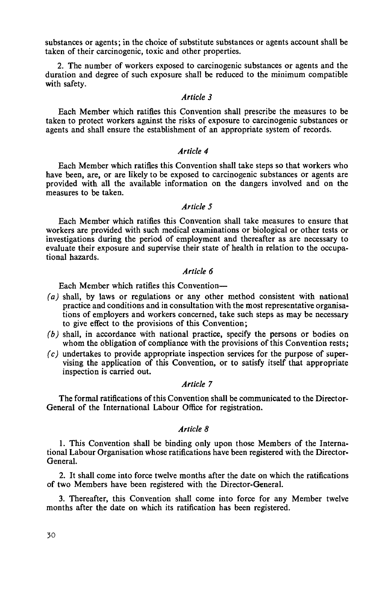substances or agents; in the choice of substitute substances or agents account shall be taken of their carcinogenic, toxic and other properties.

2. The number of workers exposed to carcinogenic substances or agents and the duration and degree of such exposure shall be reduced to the minimum compatible with safety.

## *Article 3*

Each Member which ratifies this Convention shall prescribe the measures to be taken to protect workers against the risks of exposure to carcinogenic substances or agents and shall ensure the establishment of an appropriate system of records.

# *Article 4*

Each Member which ratifies this Convention shall take steps so that workers who have been, are, or are likely to be exposed to carcinogenic substances or agents are provided with all the available information on the dangers involved and on the measures to be taken.

## *Article 5*

Each Member which ratifies this Convention shall take measures to ensure that workers are provided with such medical examinations or biological or other tests or investigations during the period of employment and thereafter as are necessary to evaluate their exposure and supervise their state of health in relation to the occupational hazards.

# *Article 6*

Each Member which ratifies this Convention—

- *(a)* shall, by laws or regulations or any other method consistent with national practice and conditions and in consultation with the most representative organisations of employers and workers concerned, take such steps as may be necessary to give effect to the provisions of this Convention;
- *(b)* shall, in accordance with national practice, specify the persons or bodies on whom the obligation of compliance with the provisions of this Convention rests;
- *(c)* undertakes to provide appropriate inspection services for the purpose of supervising the application of this Convention, or to satisfy itself that appropriate inspection is carried out.

# *Article 7*

The formal ratifications of this Convention shall be communicated to the Director-General of the International Labour Office for registration.

## *Article 8*

1. This Convention shall be binding only upon those Members of the International Labour Organisation whose ratifications have been registered with the Director-General.

2. It shall come into force twelve months after the date on which the ratifications of two Members have been registered with the Director-General.

3. Thereafter, this Convention shall come into force for any Member twelve months after the date on which its ratification has been registered.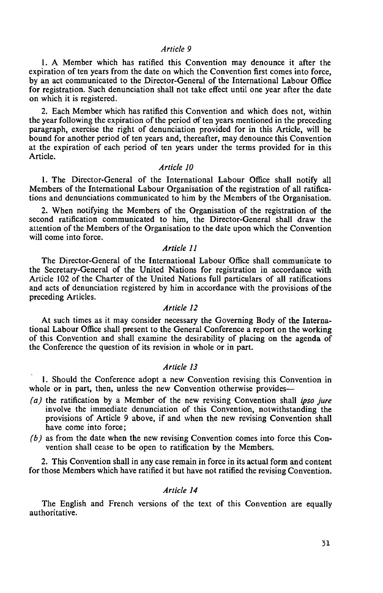#### *Artide 9*

1. A Member which has ratified this Convention may denounce it after the expiration of ten years from the date on which the Convention first comes into force, by an act communicated to the Director-General of the International Labour Office for registration. Such denunciation shall not take effect until one year after the date on which it is registered.

2. Each Member which has ratified this Convention and which does not, within the year following the expiration of the period of ten years mentioned in the preceding paragraph, exercise the right of denunciation provided for in this Article, will be bound for another period of ten years and, thereafter, may denounce this Convention at the expiration of each period of ten years under the terms provided for in this Article.

## *Article 10*

1. The Director-General of the International Labour Office shall notify all Members of the International Labour Organisation of the registration of all ratifications and denunciations communicated to him by the Members of the Organisation.

2. When notifying the Members of the Organisation of the registration of the second ratification communicated to him, the Director-General shall draw the attention of the Members of the Organisation to the date upon which the Convention will come into force.

# *Article 11*

The Director-General of the International Labour Office shall communicate to the Secretary-General of the United Nations for registration in accordance with Article 102 of the Charter of the United Nations full particulars of all ratifications and acts of denunciation registered by him in accordance with the provisions of the preceding Articles.

## *Article 12*

At such times as it may consider necessary the Governing Body of the International Labour Office shall present to the General Conference a report on the working of this Convention and shall examine the desirability of placing on the agenda of the Conference the question of its revision in whole or in part.

# *Article 13*

1. Should the Conference adopt a new Convention revising this Convention in whole or in part, then, unless the new Convention otherwise provides—

- *(a)* the ratification by a Member of the new revising Convention shall *ipso jure*  involve the immediate denunciation of this Convention, notwithstanding the provisions of Article 9 above, if and when the new revising Convention shall have come into force;
- *(b)* as from the date when the new revising Convention comes into force this Convention shall cease to be open to ratification by the Members.

2. This Convention shall in any case remain in force in its actual form and content for those Members which have ratified it but have not ratified the revising Convention.

# *Article 14*

The English and French versions of the text of this Convention are equally authoritative.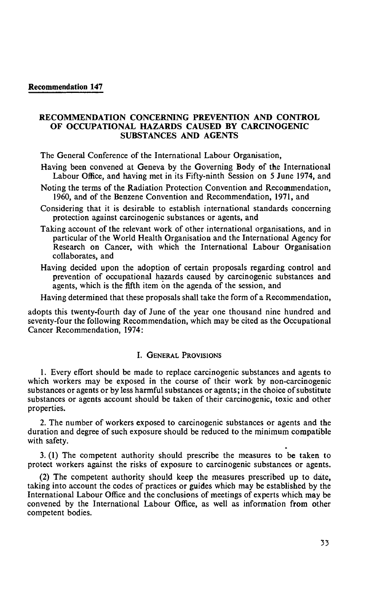## Recommendation 147

# RECOMMENDATION CONCERNING PREVENTION AND CONTROL OF OCCUPATIONAL HAZARDS CAUSED BY CARCINOGENIC SUBSTANCES AND AGENTS

The General Conference of the International Labour Organisation,

- Having been convened at Geneva by the Governing Body of the International Labour Office, and having met in its Fifty-ninth Session on 5 June 1974, and
- Noting the terms of the Radiation Protection Convention and Recommendation, 1960, and of the Benzene Convention and Recommendation, 1971, and
- Considering that it is desirable to establish international standards concerning protection against carcinogenic substances or agents, and
- Taking account of the relevant work of other international organisations, and in particular of the World Health Organisation and the International Agency for Research on Cancer, with which the International Labour Organisation collaborates, and
- Having decided upon the adoption of certain proposals regarding control and prevention of occupational hazards caused by carcinogenic substances and agents, which is the fifth item on the agenda of the session, and

Having determined that these proposals shall take the form of a Recommendation,

adopts this twenty-fourth day of June of the year one thousand nine hundred and severity-four the following Recommendation, which may be cited as the Occupational Cancer Recommendation, 1974:

# I. GENERAL PROVISIONS

1. Every effort should be made to replace carcinogenic substances and agents to which workers may be exposed in the course of their work by non-carcinogenic substances or agents or by less harmful substances or agents; in the choice of substitute substances or agents account should be taken of their carcinogenic, toxic and other properties.

2. The number of workers exposed to carcinogenic substances or agents and the duration and degree of such exposure should be reduced to the minimum compatible with safety.

3. (1) The competent authority should prescribe the measures to be taken to protect workers against the risks of exposure to carcinogenic substances or agents.

(2) The competent authority should keep the measures prescribed up to date, taking into account the codes of practices or guides which may be established by the International Labour Office and the conclusions of meetings of experts which may be convened by the International Labour Office, as well as information from other competent bodies.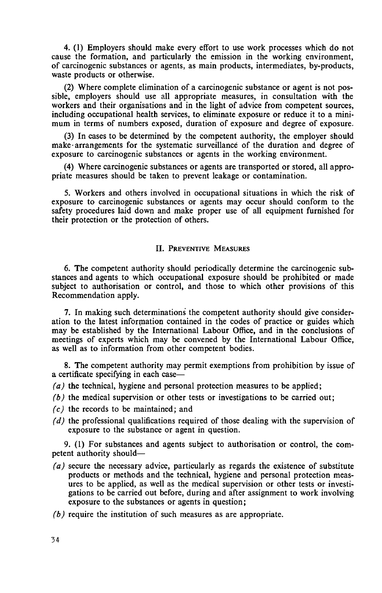4. (1) Employers should make every effort to use work processes which do not cause the formation, and particularly the emission in the working environment, of carcinogenic substances or agents, as main products, intermediates, by-products, waste products or otherwise.

(2) Where complete elimination of a carcinogenic substance or agent is not possible, employers should use all appropriate measures, in consultation with the workers and their organisations and in the light of advice from competent sources, including occupational health services, to eliminate exposure or reduce it to a minimum in terms of numbers exposed, duration of exposure and degree of exposure.

(3) In cases to be determined by the competent authority, the employer should make arrangements for the systematic surveillance of the duration and degree of exposure to carcinogenic substances or agents in the working environment.

(4) Where carcinogenic substances or agents are transported or stored, all appropriate measures should be taken to prevent leakage or contamination.

5. Workers and others involved in occupational situations in which the risk of exposure to carcinogenic substances or agents may occur should conform to the safety procedures laid down and make proper use of all equipment furnished for their protection or the protection of others.

# II. PREVENTIVE MEASURES

6. The competent authority should periodically determine the carcinogenic substances and agents to which occupational exposure should be prohibited or made subject to authorisation or control, and those to which other provisions of this Recommendation apply.

7. In making such determinations the competent authority should give consideration to the latest information contained in the codes of practice or guides which may be established by the International Labour Office, and in the conclusions of meetings of experts which may be convened by the International Labour Office, as well as to information from other competent bodies.

8. The competent authority may permit exemptions from prohibition by issue of a certificate specifying in each case—

- *(a)* the technical, hygiene and personal protection measures to be applied;
- *(b)* the medical supervision or other tests or investigations to be carried out;
- *(c)* the records to be maintained; and
- *(d)* the professional qualifications required of those dealing with the supervision of exposure to the substance or agent in question.

9. (1) For substances and agents subject to authorisation or control, the competent authority should—

- *(a)* secure the necessary advice, particularly as regards the existence of substitute products or methods and the technical, hygiene and personal protection measures to be applied, as well as the medical supervision or other tests or investigations to be carried out before, during and after assignment to work involving exposure to the substances or agents in question;
- *(b)* require the institution of such measures as are appropriate.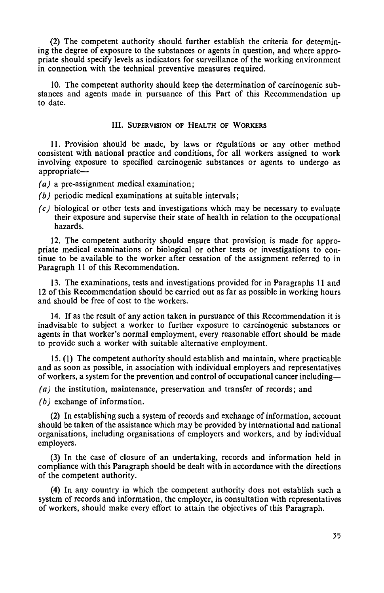(2) The competent authority should further establish the criteria for determining the degree of exposure to the substances or agents in question, and where appropriate should specify levels as indicators for surveillance of the working environment in connection with the technical preventive measures required.

10. The competent authority should keep the determination of carcinogenic substances and agents made in pursuance of this Part of this Recommendation up to date.

## III. SUPERVISION OF HEALTH OF WORKERS

11. Provision should be made, by laws or regulations or any other method consistent with national practice and conditions, for all workers assigned to work involving exposure to specified carcinogenic substances or agents to undergo as appropriate—

*(a)* a pre-assignment medical examination;

- *(b)* periodic medical examinations at suitable intervals;
- *(c)* biological or other tests and investigations which may be necessary to evaluate their exposure and supervise their state of health in relation to the occupational hazards.

12. The competent authority should ensure that provision is made for appropriate medical examinations or biological or other tests or investigations to continue to be available to the worker after cessation of the assignment referred to in Paragraph 11 of this Recommendation.

13. The examinations, tests and investigations provided for in Paragraphs 11 and 12 of this Recommendation should be carried out as far as possible in working hours and should be free of cost to the workers.

14. If as the result of any action taken in pursuance of this Recommendation it is inadvisable to subject a worker to further exposure to carcinogenic substances or agents in that worker's normal employment, every reasonable effort should be made to provide such a worker with suitable alternative employment.

15. (1) The competent authority should establish and maintain, where practicable and as soon as possible, in association with individual employers and representatives of workers, a system for the prevention and control of occupational cancer including—

*(a)* the institution, maintenance, preservation and transfer of records ; and

*(b)* exchange of information.

(2) In establishing such a system of records and exchange of information, account should be taken of the assistance which may be provided by international and national organisations, including organisations of employers and workers, and by individual employers.

(3) In the case of closure of an undertaking, records and information held in compliance with this Paragraph should be dealt with in accordance with the directions of the competent authority.

(4) In any country in which the competent authority does not establish such a system of records and information, the employer, in consultation with representatives of workers, should make every effort to attain the objectives of this Paragraph.